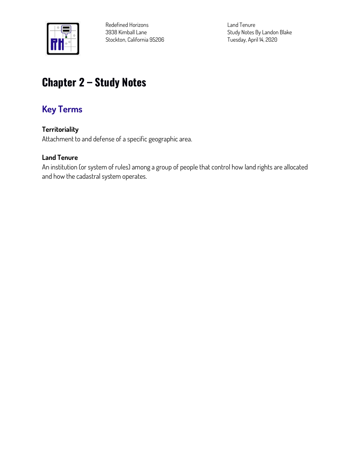

**Redefined Horizons 3938 Kimball Lane Stockton, California 95206** **Land Tenure Study Notes By Landon Blake Tuesday, April 14, 2020**

# **Chapter 2 – Study Notes**

# **Key Terms**

# **Territoriality**

**Attachment to and defense of a specific geographic area.**

# **Land Tenure**

**An institution (or system of rules) among a group of people that control how land rights are allocated and how the cadastral system operates.**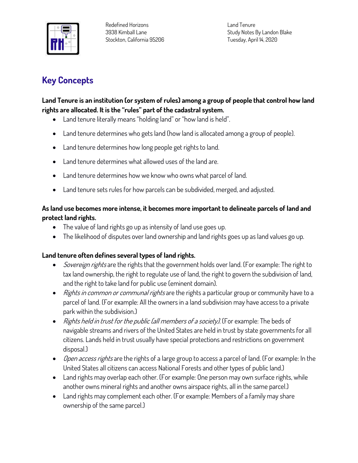

**Land Tenure Study Notes By Landon Blake Tuesday, April 14, 2020**

# **Key Concepts**

# **Land Tenure is an institution (or system of rules) among a group of people that control how land rights are allocated. It is the "rules" part of the cadastral system.**

- **Land tenure literally means "holding land" or "how land is held".**
- **Land tenure determines who gets land (how land is allocated among a group of people).**
- **Land tenure determines how long people get rights to land.**
- **Land tenure determines what allowed uses of the land are.**
- **Land tenure determines how we know who owns what parcel of land.**
- **Land tenure sets rules for how parcels can be subdivided, merged, and adjusted.**

#### **As land use becomes more intense, it becomes more important to delineate parcels of land and protect land rights.**

- **The value of land rights go up as intensity of land use goes up.**
- **The likelihood of disputes over land ownership and land rights goes up as land values go up.**

# **Land tenure often defines several types of land rights.**

- **Sovereign rights are the rights that the government holds over land. (For example: The right to tax land ownership, the right to regulate use of land, the right to govern the subdivision of land, and the right to take land for public use (eminent domain).**
- **Rights in common or communal rights are the rights a particular group or community have to a parcel of land. (For example: All the owners in a land subdivision may have access to a private park within the subdivision.)**
- **Rights held in trust for the public (all members of a society). (For example: The beds of navigable streams and rivers of the United States are held in trust by state governments for all citizens. Lands held in trust usually have special protections and restrictions on government disposal.)**
- **Open access rights are the rights of a large group to access a parcel of land. (For example: In the United States all citizens can access National Forests and other types of public land.)**
- **Land rights may overlap each other. (For example: One person may own surface rights, while another owns mineral rights and another owns airspace rights, all in the same parcel.)**
- **Land rights may complement each other. (For example: Members of a family may share ownership of the same parcel.)**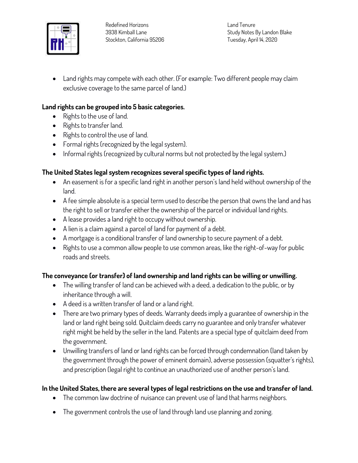

**Land Tenure Study Notes By Landon Blake Tuesday, April 14, 2020**

• **Land rights may compete with each other. (For example: Two different people may claim exclusive coverage to the same parcel of land.)**

#### **Land rights can be grouped into 5 basic categories.**

- **Rights to the use of land.**
- **Rights to transfer land.**
- **Rights to control the use of land.**
- **Formal rights (recognized by the legal system).**
- **Informal rights (recognized by cultural norms but not protected by the legal system.)**

# **The United States legal system recognizes several specific types of land rights.**

- **An easement is for a specific land right in another person's land held without ownership of the land.**
- **A fee simple absolute is a special term used to describe the person that owns the land and has the right to sell or transfer either the ownership of the parcel or individual land rights.**
- **A lease provides a land right to occupy without ownership.**
- **A lien is a claim against a parcel of land for payment of a debt.**
- **A mortgage is a conditional transfer of land ownership to secure payment of a debt.**
- **Rights to use a common allow people to use common areas, like the right-of-way for public roads and streets.**

# **The conveyance (or transfer) of land ownership and land rights can be willing or unwilling.**

- **The willing transfer of land can be achieved with a deed, a dedication to the public, or by inheritance through a will.**
- **A deed is a written transfer of land or a land right.**
- **There are two primary types of deeds. Warranty deeds imply a guarantee of ownership in the land or land right being sold. Quitclaim deeds carry no guarantee and only transfer whatever right might be held by the seller in the land. Patents are a special type of quitclaim deed from the government.**
- **Unwilling transfers of land or land rights can be forced through condemnation (land taken by the government through the power of eminent domain), adverse possession (squatter's rights), and prescription (legal right to continue an unauthorized use of another person's land.**

# **In the United States, there are several types of legal restrictions on the use and transfer of land.**

- **The common law doctrine of nuisance can prevent use of land that harms neighbors.**
- **The government controls the use of land through land use planning and zoning.**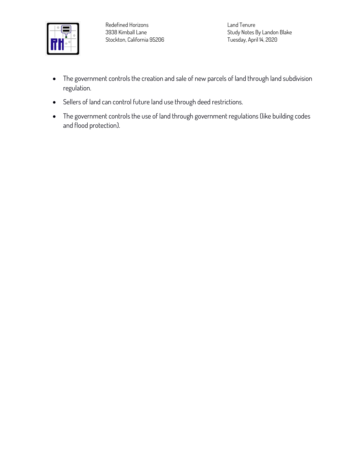

**Land Tenure Study Notes By Landon Blake Tuesday, April 14, 2020**

- **The government controls the creation and sale of new parcels of land through land subdivision regulation.**
- **Sellers of land can control future land use through deed restrictions.**
- **The government controls the use of land through government regulations (like building codes and flood protection).**